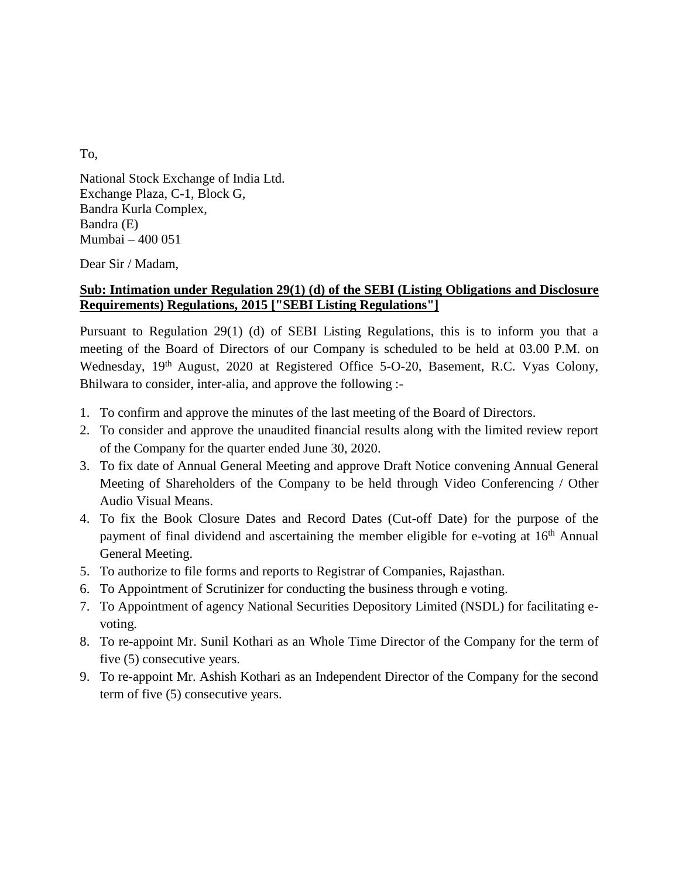To,

National Stock Exchange of India Ltd. Exchange Plaza, C-1, Block G, Bandra Kurla Complex, Bandra (E) Mumbai – 400 051

Dear Sir / Madam,

## **Sub: Intimation under Regulation 29(1) (d) of the SEBI (Listing Obligations and Disclosure Requirements) Regulations, 2015 ["SEBI Listing Regulations"]**

Pursuant to Regulation 29(1) (d) of SEBI Listing Regulations, this is to inform you that a meeting of the Board of Directors of our Company is scheduled to be held at 03.00 P.M. on Wednesday, 19<sup>th</sup> August, 2020 at Registered Office 5-O-20, Basement, R.C. Vyas Colony, Bhilwara to consider, inter-alia, and approve the following :-

- 1. To confirm and approve the minutes of the last meeting of the Board of Directors.
- 2. To consider and approve the unaudited financial results along with the limited review report of the Company for the quarter ended June 30, 2020.
- 3. To fix date of Annual General Meeting and approve Draft Notice convening Annual General Meeting of Shareholders of the Company to be held through Video Conferencing / Other Audio Visual Means.
- 4. To fix the Book Closure Dates and Record Dates (Cut-off Date) for the purpose of the payment of final dividend and ascertaining the member eligible for e-voting at 16<sup>th</sup> Annual General Meeting.
- 5. To authorize to file forms and reports to Registrar of Companies, Rajasthan.
- 6. To Appointment of Scrutinizer for conducting the business through e voting.
- 7. To Appointment of agency National Securities Depository Limited (NSDL) for facilitating evoting.
- 8. To re-appoint Mr. Sunil Kothari as an Whole Time Director of the Company for the term of five (5) consecutive years.
- 9. To re-appoint Mr. Ashish Kothari as an Independent Director of the Company for the second term of five (5) consecutive years.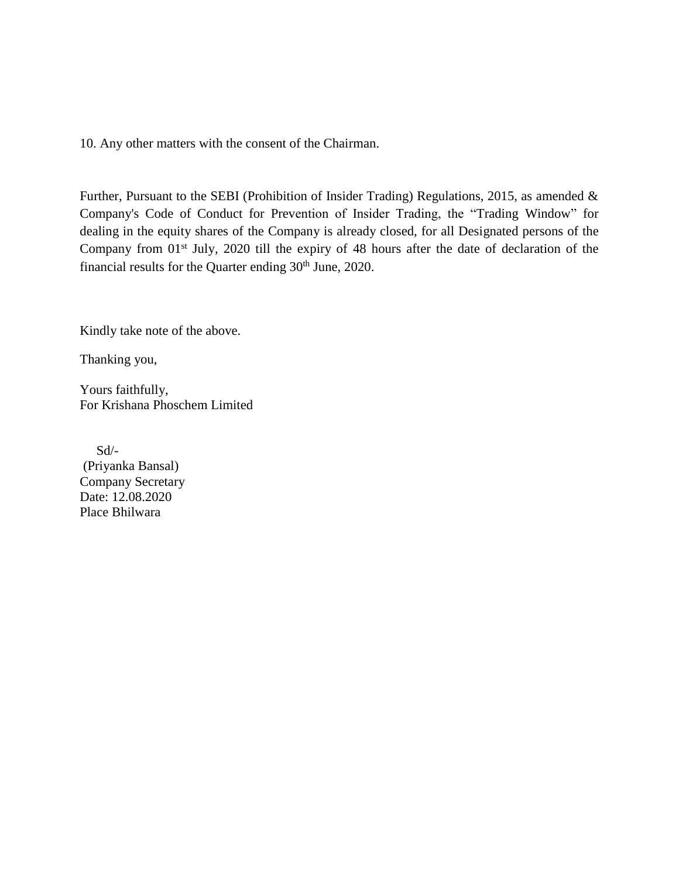10. Any other matters with the consent of the Chairman.

Further, Pursuant to the SEBI (Prohibition of Insider Trading) Regulations, 2015, as amended & Company's Code of Conduct for Prevention of Insider Trading, the "Trading Window" for dealing in the equity shares of the Company is already closed, for all Designated persons of the Company from 01<sup>st</sup> July, 2020 till the expiry of 48 hours after the date of declaration of the financial results for the Quarter ending 30<sup>th</sup> June, 2020.

Kindly take note of the above.

Thanking you,

Yours faithfully, For Krishana Phoschem Limited

 Sd/- (Priyanka Bansal) Company Secretary Date: 12.08.2020 Place Bhilwara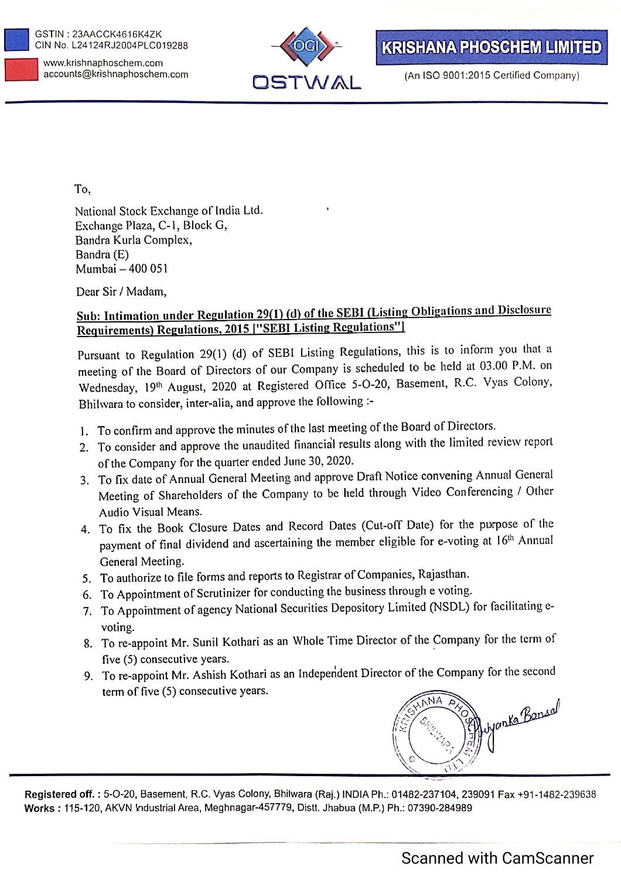



(An ISO 9001:2015 Certified Company)

To.

National Stock Exchange of India Ltd. Exchange Plaza, C-1, Block G, Bandra Kurla Complex, Bandra (E) Mumbai - 400 051

Dear Sir / Madam,

## Sub: Intimation under Regulation 29(1) (d) of the SEBI (Listing Obligations and Disclosure Requirements) Regulations, 2015 ["SEBI Listing Regulations"]

Pursuant to Regulation 29(1) (d) of SEBI Listing Regulations, this is to inform you that a meeting of the Board of Directors of our Company is scheduled to be held at 03.00 P.M. on Wednesday, 19th August, 2020 at Registered Office 5-O-20, Basement, R.C. Vyas Colony, Bhilwara to consider, inter-alia, and approve the following :-

- 1. To confirm and approve the minutes of the last meeting of the Board of Directors.
- 2. To consider and approve the unaudited financial results along with the limited review report of the Company for the quarter ended June 30, 2020.
- 3. To fix date of Annual General Meeting and approve Draft Notice convening Annual General Meeting of Shareholders of the Company to be held through Video Conferencing / Other Audio Visual Means.
- 4. To fix the Book Closure Dates and Record Dates (Cut-off Date) for the purpose of the payment of final dividend and ascertaining the member eligible for e-voting at 16<sup>th</sup> Annual General Meeting.
- 5. To authorize to file forms and reports to Registrar of Companies, Rajasthan.
- 6. To Appointment of Scrutinizer for conducting the business through e voting.
- 7. To Appointment of agency National Securities Depository Limited (NSDL) for facilitating evoting.
- 8. To re-appoint Mr. Sunil Kothari as an Whole Time Director of the Company for the term of five (5) consecutive years.
- 9. To re-appoint Mr. Ashish Kothari as an Independent Director of the Company for the second term of five (5) consecutive years.



Registered off.: 5-O-20, Basement, R.C. Vyas Colony, Bhilwara (Raj.) INDIA Ph.: 01482-237104, 239091 Fax +91-1482-239638 Works: 115-120, AKVN Industrial Area, Meghnagar-457779, Distt. Jhabua (M.P.) Ph.: 07390-284989